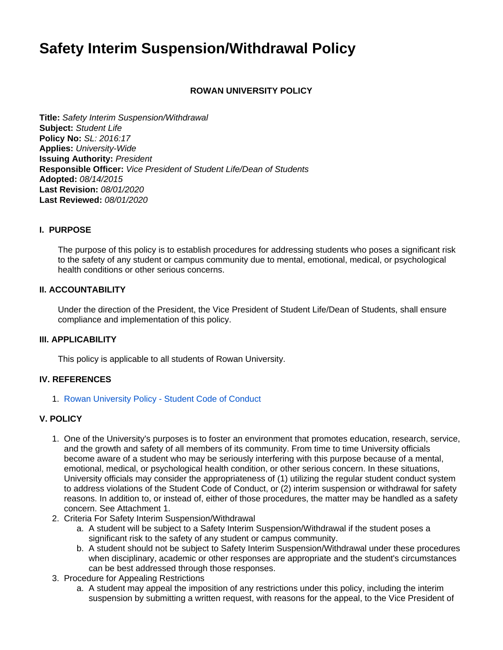# **Safety Interim Suspension/Withdrawal Policy**

## **ROWAN UNIVERSITY POLICY**

**Title:** Safety Interim Suspension/Withdrawal **Subject:** Student Life **Policy No:** SL: 2016:17 **Applies:** University-Wide **Issuing Authority:** President **Responsible Officer:** Vice President of Student Life/Dean of Students **Adopted:** 08/14/2015 **Last Revision:** 08/01/2020 **Last Reviewed:** 08/01/2020

#### **I. PURPOSE**

The purpose of this policy is to establish procedures for addressing students who poses a significant risk to the safety of any student or campus community due to mental, emotional, medical, or psychological health conditions or other serious concerns.

#### **II. ACCOUNTABILITY**

Under the direction of the President, the Vice President of Student Life/Dean of Students, shall ensure compliance and implementation of this policy.

#### **III. APPLICABILITY**

This policy is applicable to all students of Rowan University.

#### **IV. REFERENCES**

1. [Rowan University Policy - Student Code of Conduct](https://confluence.rowan.edu/display/POLICY/Student%2BCode%2Bof%2BConduct)

## **V. POLICY**

- 1. One of the University's purposes is to foster an environment that promotes education, research, service, and the growth and safety of all members of its community. From time to time University officials become aware of a student who may be seriously interfering with this purpose because of a mental, emotional, medical, or psychological health condition, or other serious concern. In these situations, University officials may consider the appropriateness of (1) utilizing the regular student conduct system to address violations of the Student Code of Conduct, or (2) interim suspension or withdrawal for safety reasons. In addition to, or instead of, either of those procedures, the matter may be handled as a safety concern. See Attachment 1.
- 2. Criteria For Safety Interim Suspension/Withdrawal
	- a. A student will be subject to a Safety Interim Suspension/Withdrawal if the student poses a significant risk to the safety of any student or campus community.
	- b. A student should not be subject to Safety Interim Suspension/Withdrawal under these procedures when disciplinary, academic or other responses are appropriate and the student's circumstances can be best addressed through those responses.
- 3. Procedure for Appealing Restrictions
	- a. A student may appeal the imposition of any restrictions under this policy, including the interim suspension by submitting a written request, with reasons for the appeal, to the Vice President of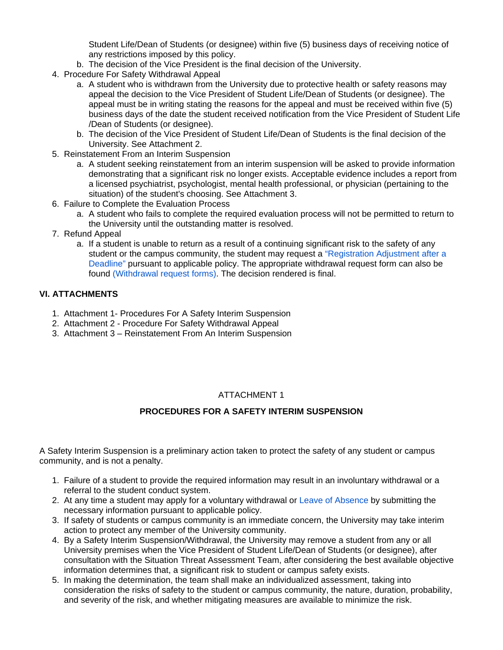Student Life/Dean of Students (or designee) within five (5) business days of receiving notice of any restrictions imposed by this policy.

- b. The decision of the Vice President is the final decision of the University.
- 4. Procedure For Safety Withdrawal Appeal
	- a. A student who is withdrawn from the University due to protective health or safety reasons may appeal the decision to the Vice President of Student Life/Dean of Students (or designee). The appeal must be in writing stating the reasons for the appeal and must be received within five (5) business days of the date the student received notification from the Vice President of Student Life /Dean of Students (or designee).
	- b. The decision of the Vice President of Student Life/Dean of Students is the final decision of the University. See Attachment 2.
- 5. Reinstatement From an Interim Suspension
	- a. A student seeking reinstatement from an interim suspension will be asked to provide information demonstrating that a significant risk no longer exists. Acceptable evidence includes a report from a licensed psychiatrist, psychologist, mental health professional, or physician (pertaining to the situation) of the student's choosing. See Attachment 3.
- 6. Failure to Complete the Evaluation Process
	- a. A student who fails to complete the required evaluation process will not be permitted to return to the University until the outstanding matter is resolved.
- 7. Refund Appeal
	- a. If a student is unable to return as a result of a continuing significant risk to the safety of any student or the campus community, the student may request a ["](https://sites.rowan.edu/academic-affairs/officeofacademicaffairs/registration-adjustment-after-a-deadline/index.html)[Registration Adjustment after a](https://sites.rowan.edu/registrar/registration-information/registration-adjustments.html)  [Deadline"](https://sites.rowan.edu/registrar/registration-information/registration-adjustments.html) pursuant to applicable policy. The appropriate withdrawal request form can also be found [\(](https://sites.rowan.edu/academic-affairs/officeofacademicaffairs/registration-adjustment-after-a-deadline/index.html)[Withdrawal request forms](https://sites.rowan.edu/registrar/registration-information/registration-adjustments.html)[\)](https://sites.rowan.edu/academic-affairs/officeofacademicaffairs/registration-adjustment-after-a-deadline/index.html). The decision rendered is final.

## **VI. ATTACHMENTS**

- 1. Attachment 1- Procedures For A Safety Interim Suspension
- 2. Attachment 2 Procedure For Safety Withdrawal Appeal
- 3. Attachment 3 Reinstatement From An Interim Suspension

# ATTACHMENT 1

# **PROCEDURES FOR A SAFETY INTERIM SUSPENSION**

A Safety Interim Suspension is a preliminary action taken to protect the safety of any student or campus community, and is not a penalty.

- 1. Failure of a student to provide the required information may result in an involuntary withdrawal or a referral to the student conduct system.
- 2. At any time a student may apply for a voluntary withdrawal or [Leave of Absence](https://sites.rowan.edu/student-success/leave-return-rowan/leave-of-absence/leave-of-absence-application.html) by submitting the necessary information pursuant to applicable policy.
- 3. If safety of students or campus community is an immediate concern, the University may take interim action to protect any member of the University community.
- 4. By a Safety Interim Suspension/Withdrawal, the University may remove a student from any or all University premises when the Vice President of Student Life/Dean of Students (or designee), after consultation with the Situation Threat Assessment Team, after considering the best available objective information determines that, a significant risk to student or campus safety exists.
- 5. In making the determination, the team shall make an individualized assessment, taking into consideration the risks of safety to the student or campus community, the nature, duration, probability, and severity of the risk, and whether mitigating measures are available to minimize the risk.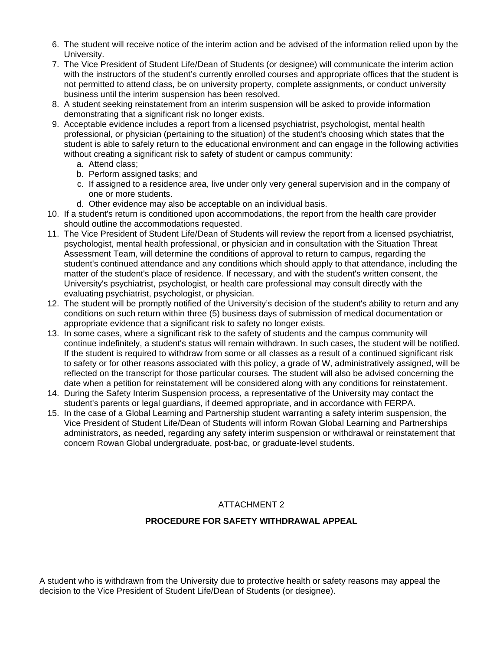- 6. The student will receive notice of the interim action and be advised of the information relied upon by the University.
- 7. The Vice President of Student Life/Dean of Students (or designee) will communicate the interim action with the instructors of the student's currently enrolled courses and appropriate offices that the student is not permitted to attend class, be on university property, complete assignments, or conduct university business until the interim suspension has been resolved.
- 8. A student seeking reinstatement from an interim suspension will be asked to provide information demonstrating that a significant risk no longer exists.
- 9. Acceptable evidence includes a report from a licensed psychiatrist, psychologist, mental health professional, or physician (pertaining to the situation) of the student's choosing which states that the student is able to safely return to the educational environment and can engage in the following activities without creating a significant risk to safety of student or campus community:
	- a. Attend class;
	- b. Perform assigned tasks; and
	- c. If assigned to a residence area, live under only very general supervision and in the company of one or more students.
	- d. Other evidence may also be acceptable on an individual basis.
- 10. If a student's return is conditioned upon accommodations, the report from the health care provider should outline the accommodations requested.
- 11. The Vice President of Student Life/Dean of Students will review the report from a licensed psychiatrist, psychologist, mental health professional, or physician and in consultation with the Situation Threat Assessment Team, will determine the conditions of approval to return to campus, regarding the student's continued attendance and any conditions which should apply to that attendance, including the matter of the student's place of residence. If necessary, and with the student's written consent, the University's psychiatrist, psychologist, or health care professional may consult directly with the evaluating psychiatrist, psychologist, or physician.
- 12. The student will be promptly notified of the University's decision of the student's ability to return and any conditions on such return within three (5) business days of submission of medical documentation or appropriate evidence that a significant risk to safety no longer exists.
- 13. In some cases, where a significant risk to the safety of students and the campus community will continue indefinitely, a student's status will remain withdrawn. In such cases, the student will be notified. If the student is required to withdraw from some or all classes as a result of a continued significant risk to safety or for other reasons associated with this policy, a grade of W, administratively assigned, will be reflected on the transcript for those particular courses. The student will also be advised concerning the date when a petition for reinstatement will be considered along with any conditions for reinstatement.
- 14. During the Safety Interim Suspension process, a representative of the University may contact the student's parents or legal guardians, if deemed appropriate, and in accordance with FERPA.
- 15. In the case of a Global Learning and Partnership student warranting a safety interim suspension, the Vice President of Student Life/Dean of Students will inform Rowan Global Learning and Partnerships administrators, as needed, regarding any safety interim suspension or withdrawal or reinstatement that concern Rowan Global undergraduate, post-bac, or graduate-level students.

# ATTACHMENT 2

# **PROCEDURE FOR SAFETY WITHDRAWAL APPEAL**

A student who is withdrawn from the University due to protective health or safety reasons may appeal the decision to the Vice President of Student Life/Dean of Students (or designee).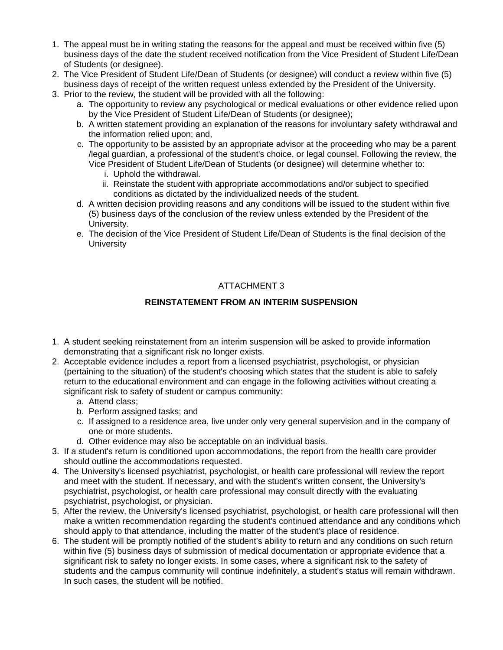- 1. The appeal must be in writing stating the reasons for the appeal and must be received within five (5) business days of the date the student received notification from the Vice President of Student Life/Dean of Students (or designee).
- 2. The Vice President of Student Life/Dean of Students (or designee) will conduct a review within five (5) business days of receipt of the written request unless extended by the President of the University.
- 3. Prior to the review, the student will be provided with all the following:
	- a. The opportunity to review any psychological or medical evaluations or other evidence relied upon by the Vice President of Student Life/Dean of Students (or designee);
	- b. A written statement providing an explanation of the reasons for involuntary safety withdrawal and the information relied upon; and,
	- c. The opportunity to be assisted by an appropriate advisor at the proceeding who may be a parent /legal guardian, a professional of the student's choice, or legal counsel. Following the review, the Vice President of Student Life/Dean of Students (or designee) will determine whether to:
		- i. Uphold the withdrawal.
		- ii. Reinstate the student with appropriate accommodations and/or subject to specified conditions as dictated by the individualized needs of the student.
	- d. A written decision providing reasons and any conditions will be issued to the student within five (5) business days of the conclusion of the review unless extended by the President of the University.
	- e. The decision of the Vice President of Student Life/Dean of Students is the final decision of the **University**

# ATTACHMENT 3

# **REINSTATEMENT FROM AN INTERIM SUSPENSION**

- 1. A student seeking reinstatement from an interim suspension will be asked to provide information demonstrating that a significant risk no longer exists.
- 2. Acceptable evidence includes a report from a licensed psychiatrist, psychologist, or physician (pertaining to the situation) of the student's choosing which states that the student is able to safely return to the educational environment and can engage in the following activities without creating a significant risk to safety of student or campus community:
	- a. Attend class;
	- b. Perform assigned tasks; and
	- c. If assigned to a residence area, live under only very general supervision and in the company of one or more students.
	- d. Other evidence may also be acceptable on an individual basis.
- 3. If a student's return is conditioned upon accommodations, the report from the health care provider should outline the accommodations requested.
- 4. The University's licensed psychiatrist, psychologist, or health care professional will review the report and meet with the student. If necessary, and with the student's written consent, the University's psychiatrist, psychologist, or health care professional may consult directly with the evaluating psychiatrist, psychologist, or physician.
- 5. After the review, the University's licensed psychiatrist, psychologist, or health care professional will then make a written recommendation regarding the student's continued attendance and any conditions which should apply to that attendance, including the matter of the student's place of residence.
- 6. The student will be promptly notified of the student's ability to return and any conditions on such return within five (5) business days of submission of medical documentation or appropriate evidence that a significant risk to safety no longer exists. In some cases, where a significant risk to the safety of students and the campus community will continue indefinitely, a student's status will remain withdrawn. In such cases, the student will be notified.